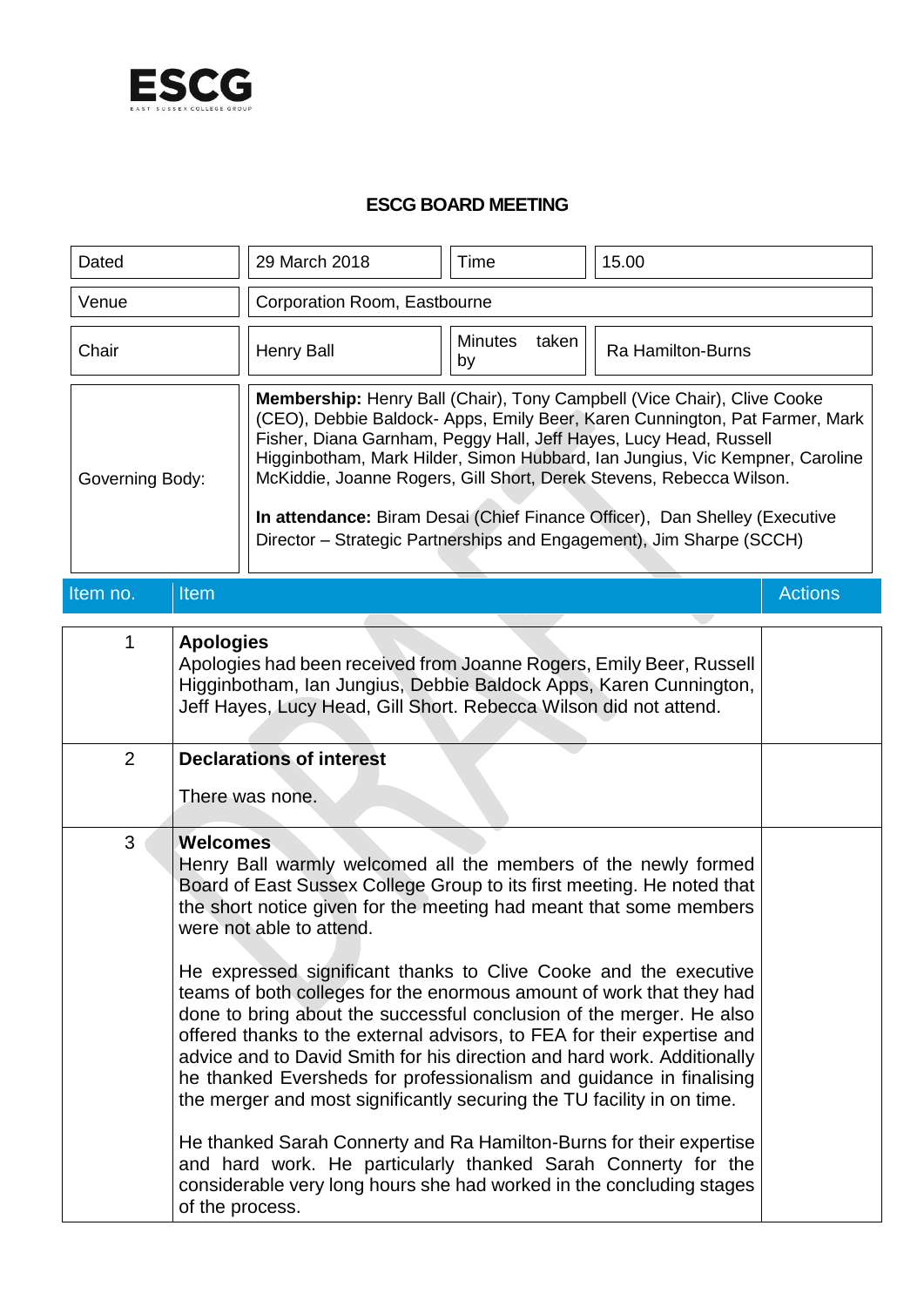

## **ESCG BOARD MEETING**

| Dated           |                                    | 29 March 2018                                                                                                                                                                                                                                                                                                                                                                                                                                                                                                                                                                                                                                                                                                                                                                                                                                                                                                                                                                         | Time                          | 15.00                    |                |
|-----------------|------------------------------------|---------------------------------------------------------------------------------------------------------------------------------------------------------------------------------------------------------------------------------------------------------------------------------------------------------------------------------------------------------------------------------------------------------------------------------------------------------------------------------------------------------------------------------------------------------------------------------------------------------------------------------------------------------------------------------------------------------------------------------------------------------------------------------------------------------------------------------------------------------------------------------------------------------------------------------------------------------------------------------------|-------------------------------|--------------------------|----------------|
| Venue           |                                    | Corporation Room, Eastbourne                                                                                                                                                                                                                                                                                                                                                                                                                                                                                                                                                                                                                                                                                                                                                                                                                                                                                                                                                          |                               |                          |                |
| Chair           |                                    | <b>Henry Ball</b>                                                                                                                                                                                                                                                                                                                                                                                                                                                                                                                                                                                                                                                                                                                                                                                                                                                                                                                                                                     | <b>Minutes</b><br>taken<br>by | <b>Ra Hamilton-Burns</b> |                |
| Governing Body: |                                    | Membership: Henry Ball (Chair), Tony Campbell (Vice Chair), Clive Cooke<br>(CEO), Debbie Baldock- Apps, Emily Beer, Karen Cunnington, Pat Farmer, Mark<br>Fisher, Diana Garnham, Peggy Hall, Jeff Hayes, Lucy Head, Russell<br>Higginbotham, Mark Hilder, Simon Hubbard, Ian Jungius, Vic Kempner, Caroline<br>McKiddie, Joanne Rogers, Gill Short, Derek Stevens, Rebecca Wilson.<br>In attendance: Biram Desai (Chief Finance Officer), Dan Shelley (Executive<br>Director - Strategic Partnerships and Engagement), Jim Sharpe (SCCH)                                                                                                                                                                                                                                                                                                                                                                                                                                              |                               |                          |                |
| Item no.        | Item                               |                                                                                                                                                                                                                                                                                                                                                                                                                                                                                                                                                                                                                                                                                                                                                                                                                                                                                                                                                                                       |                               |                          | <b>Actions</b> |
| 1               | <b>Apologies</b>                   | Apologies had been received from Joanne Rogers, Emily Beer, Russell<br>Higginbotham, Ian Jungius, Debbie Baldock Apps, Karen Cunnington,<br>Jeff Hayes, Lucy Head, Gill Short. Rebecca Wilson did not attend.                                                                                                                                                                                                                                                                                                                                                                                                                                                                                                                                                                                                                                                                                                                                                                         |                               |                          |                |
| $\overline{2}$  |                                    | <b>Declarations of interest</b><br>There was none.                                                                                                                                                                                                                                                                                                                                                                                                                                                                                                                                                                                                                                                                                                                                                                                                                                                                                                                                    |                               |                          |                |
| 3               | <b>Welcomes</b><br>of the process. | Henry Ball warmly welcomed all the members of the newly formed<br>Board of East Sussex College Group to its first meeting. He noted that<br>the short notice given for the meeting had meant that some members<br>were not able to attend.<br>He expressed significant thanks to Clive Cooke and the executive<br>teams of both colleges for the enormous amount of work that they had<br>done to bring about the successful conclusion of the merger. He also<br>offered thanks to the external advisors, to FEA for their expertise and<br>advice and to David Smith for his direction and hard work. Additionally<br>he thanked Eversheds for professionalism and guidance in finalising<br>the merger and most significantly securing the TU facility in on time.<br>He thanked Sarah Connerty and Ra Hamilton-Burns for their expertise<br>and hard work. He particularly thanked Sarah Connerty for the<br>considerable very long hours she had worked in the concluding stages |                               |                          |                |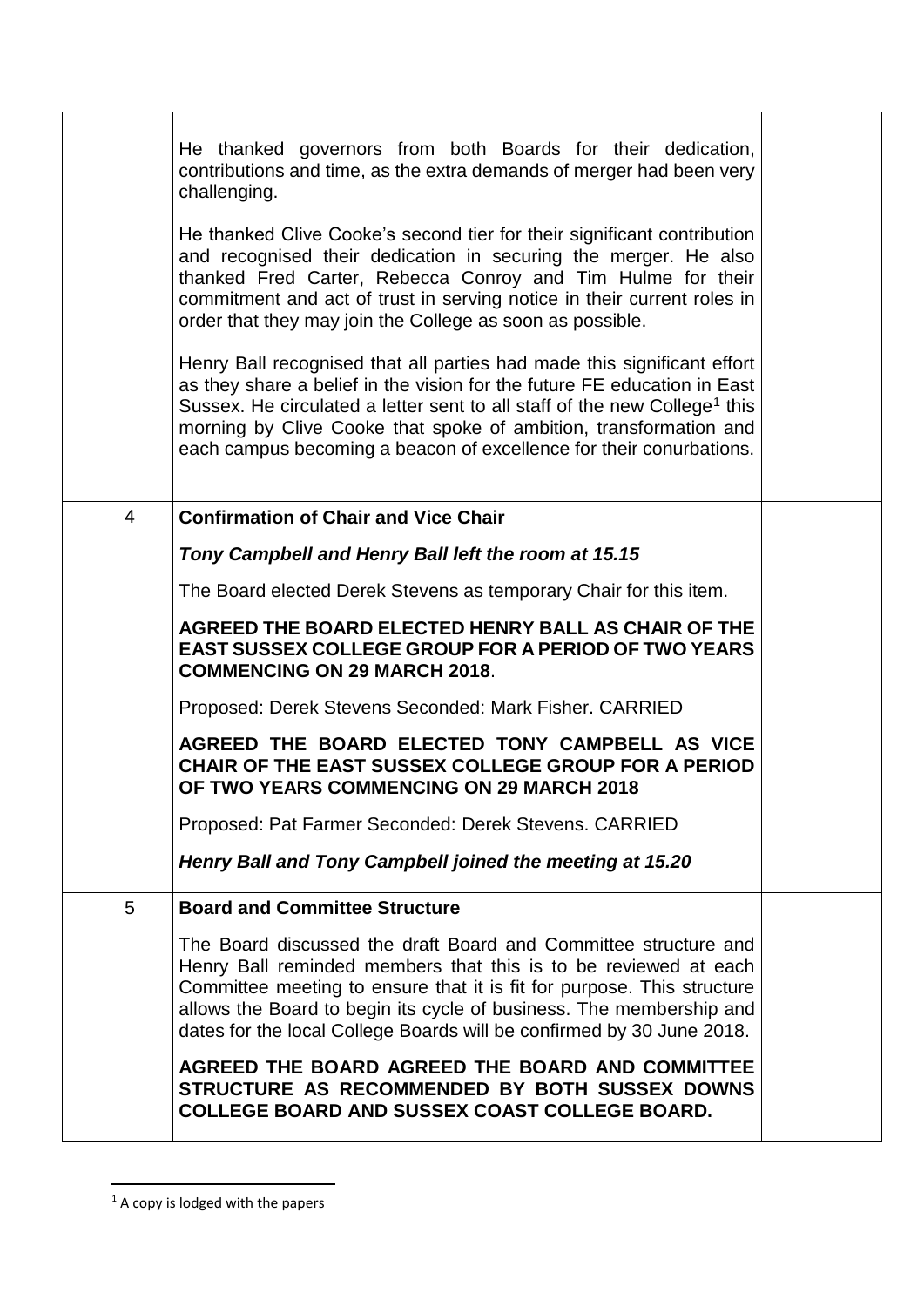|                | He thanked governors from both Boards for their dedication,<br>contributions and time, as the extra demands of merger had been very<br>challenging.<br>He thanked Clive Cooke's second tier for their significant contribution<br>and recognised their dedication in securing the merger. He also<br>thanked Fred Carter, Rebecca Conroy and Tim Hulme for their<br>commitment and act of trust in serving notice in their current roles in<br>order that they may join the College as soon as possible.<br>Henry Ball recognised that all parties had made this significant effort<br>as they share a belief in the vision for the future FE education in East<br>Sussex. He circulated a letter sent to all staff of the new College <sup>1</sup> this<br>morning by Clive Cooke that spoke of ambition, transformation and<br>each campus becoming a beacon of excellence for their conurbations. |  |
|----------------|------------------------------------------------------------------------------------------------------------------------------------------------------------------------------------------------------------------------------------------------------------------------------------------------------------------------------------------------------------------------------------------------------------------------------------------------------------------------------------------------------------------------------------------------------------------------------------------------------------------------------------------------------------------------------------------------------------------------------------------------------------------------------------------------------------------------------------------------------------------------------------------------------|--|
| $\overline{4}$ | <b>Confirmation of Chair and Vice Chair</b>                                                                                                                                                                                                                                                                                                                                                                                                                                                                                                                                                                                                                                                                                                                                                                                                                                                          |  |
|                | Tony Campbell and Henry Ball left the room at 15.15                                                                                                                                                                                                                                                                                                                                                                                                                                                                                                                                                                                                                                                                                                                                                                                                                                                  |  |
|                | The Board elected Derek Stevens as temporary Chair for this item.                                                                                                                                                                                                                                                                                                                                                                                                                                                                                                                                                                                                                                                                                                                                                                                                                                    |  |
|                | AGREED THE BOARD ELECTED HENRY BALL AS CHAIR OF THE<br><b>EAST SUSSEX COLLEGE GROUP FOR A PERIOD OF TWO YEARS</b><br><b>COMMENCING ON 29 MARCH 2018.</b>                                                                                                                                                                                                                                                                                                                                                                                                                                                                                                                                                                                                                                                                                                                                             |  |
|                | Proposed: Derek Stevens Seconded: Mark Fisher. CARRIED                                                                                                                                                                                                                                                                                                                                                                                                                                                                                                                                                                                                                                                                                                                                                                                                                                               |  |
|                | AGREED THE BOARD ELECTED TONY CAMPBELL AS VICE<br>CHAIR OF THE EAST SUSSEX COLLEGE GROUP FOR A PERIOD<br>OF TWO YEARS COMMENCING ON 29 MARCH 2018                                                                                                                                                                                                                                                                                                                                                                                                                                                                                                                                                                                                                                                                                                                                                    |  |
|                | Proposed: Pat Farmer Seconded: Derek Stevens. CARRIED                                                                                                                                                                                                                                                                                                                                                                                                                                                                                                                                                                                                                                                                                                                                                                                                                                                |  |
|                | Henry Ball and Tony Campbell joined the meeting at 15.20                                                                                                                                                                                                                                                                                                                                                                                                                                                                                                                                                                                                                                                                                                                                                                                                                                             |  |
| 5              | <b>Board and Committee Structure</b>                                                                                                                                                                                                                                                                                                                                                                                                                                                                                                                                                                                                                                                                                                                                                                                                                                                                 |  |
|                | The Board discussed the draft Board and Committee structure and<br>Henry Ball reminded members that this is to be reviewed at each<br>Committee meeting to ensure that it is fit for purpose. This structure<br>allows the Board to begin its cycle of business. The membership and<br>dates for the local College Boards will be confirmed by 30 June 2018.                                                                                                                                                                                                                                                                                                                                                                                                                                                                                                                                         |  |
|                | AGREED THE BOARD AGREED THE BOARD AND COMMITTEE<br>STRUCTURE AS RECOMMENDED BY BOTH SUSSEX DOWNS<br>COLLEGE BOARD AND SUSSEX COAST COLLEGE BOARD.                                                                                                                                                                                                                                                                                                                                                                                                                                                                                                                                                                                                                                                                                                                                                    |  |

 $1$  A copy is lodged with the papers

**.**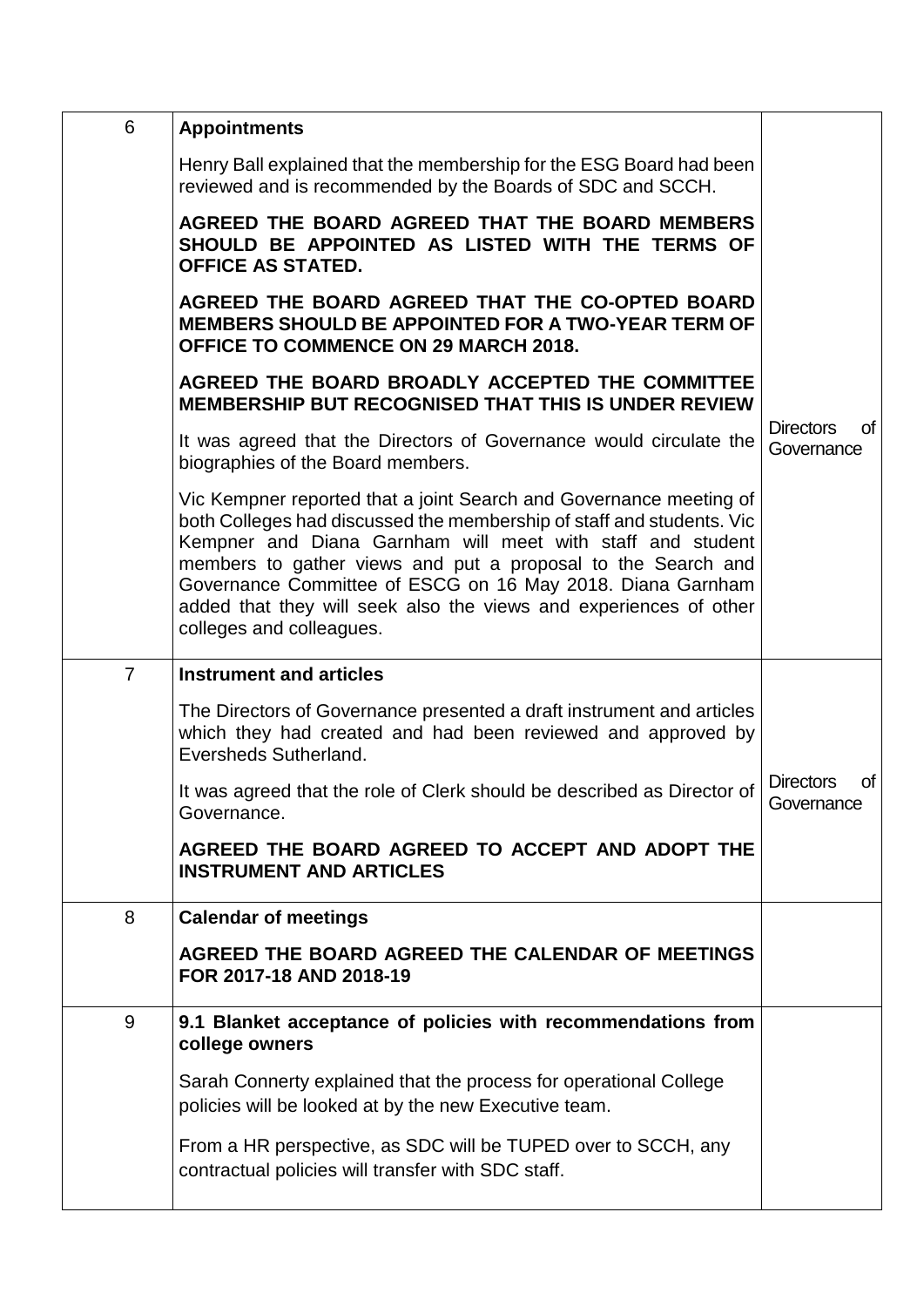| 6              | <b>Appointments</b>                                                                                                                                                                                                                                                                                                                                                                                                                      |                                      |
|----------------|------------------------------------------------------------------------------------------------------------------------------------------------------------------------------------------------------------------------------------------------------------------------------------------------------------------------------------------------------------------------------------------------------------------------------------------|--------------------------------------|
|                | Henry Ball explained that the membership for the ESG Board had been<br>reviewed and is recommended by the Boards of SDC and SCCH.                                                                                                                                                                                                                                                                                                        |                                      |
|                | AGREED THE BOARD AGREED THAT THE BOARD MEMBERS<br>SHOULD BE APPOINTED AS LISTED WITH THE TERMS OF<br><b>OFFICE AS STATED.</b>                                                                                                                                                                                                                                                                                                            |                                      |
|                | AGREED THE BOARD AGREED THAT THE CO-OPTED BOARD<br><b>MEMBERS SHOULD BE APPOINTED FOR A TWO-YEAR TERM OF</b><br><b>OFFICE TO COMMENCE ON 29 MARCH 2018.</b>                                                                                                                                                                                                                                                                              |                                      |
|                | AGREED THE BOARD BROADLY ACCEPTED THE COMMITTEE<br><b>MEMBERSHIP BUT RECOGNISED THAT THIS IS UNDER REVIEW</b>                                                                                                                                                                                                                                                                                                                            |                                      |
|                | It was agreed that the Directors of Governance would circulate the<br>biographies of the Board members.                                                                                                                                                                                                                                                                                                                                  | of<br><b>Directors</b><br>Governance |
|                | Vic Kempner reported that a joint Search and Governance meeting of<br>both Colleges had discussed the membership of staff and students. Vic<br>Kempner and Diana Garnham will meet with staff and student<br>members to gather views and put a proposal to the Search and<br>Governance Committee of ESCG on 16 May 2018. Diana Garnham<br>added that they will seek also the views and experiences of other<br>colleges and colleagues. |                                      |
| $\overline{7}$ | <b>Instrument and articles</b>                                                                                                                                                                                                                                                                                                                                                                                                           |                                      |
|                | The Directors of Governance presented a draft instrument and articles<br>which they had created and had been reviewed and approved by<br>Eversheds Sutherland.                                                                                                                                                                                                                                                                           |                                      |
|                | It was agreed that the role of Clerk should be described as Director of<br>Governance.                                                                                                                                                                                                                                                                                                                                                   | of<br><b>Directors</b><br>Governance |
|                | AGREED THE BOARD AGREED TO ACCEPT AND ADOPT THE<br><b>INSTRUMENT AND ARTICLES</b>                                                                                                                                                                                                                                                                                                                                                        |                                      |
| 8              | <b>Calendar of meetings</b>                                                                                                                                                                                                                                                                                                                                                                                                              |                                      |
|                | AGREED THE BOARD AGREED THE CALENDAR OF MEETINGS<br>FOR 2017-18 AND 2018-19                                                                                                                                                                                                                                                                                                                                                              |                                      |
| 9              | 9.1 Blanket acceptance of policies with recommendations from<br>college owners                                                                                                                                                                                                                                                                                                                                                           |                                      |
|                | Sarah Connerty explained that the process for operational College<br>policies will be looked at by the new Executive team.                                                                                                                                                                                                                                                                                                               |                                      |
|                | From a HR perspective, as SDC will be TUPED over to SCCH, any                                                                                                                                                                                                                                                                                                                                                                            |                                      |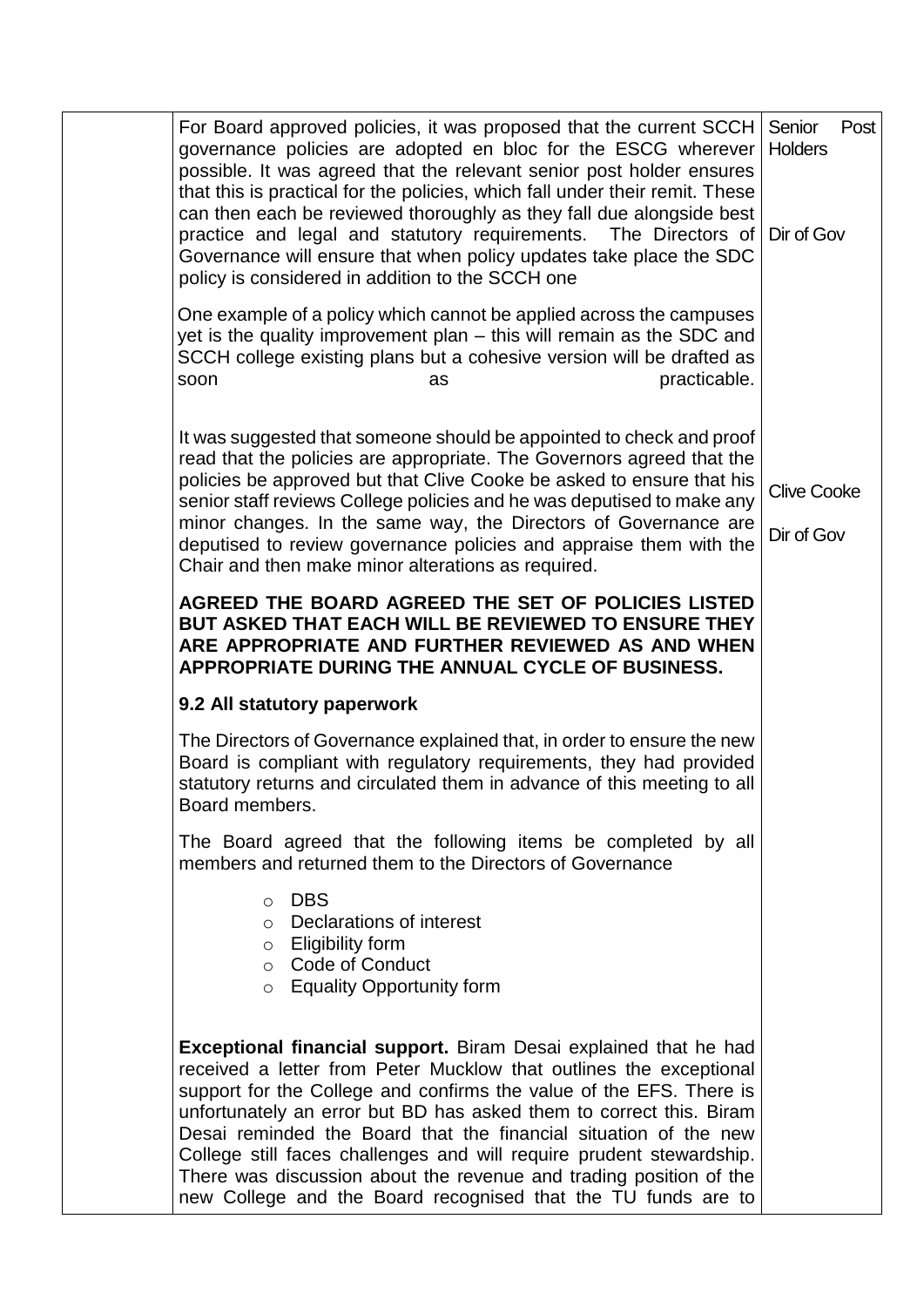| For Board approved policies, it was proposed that the current SCCH<br>governance policies are adopted en bloc for the ESCG wherever<br>possible. It was agreed that the relevant senior post holder ensures<br>that this is practical for the policies, which fall under their remit. These<br>can then each be reviewed thoroughly as they fall due alongside best<br>practice and legal and statutory requirements. The Directors of<br>Governance will ensure that when policy updates take place the SDC<br>policy is considered in addition to the SCCH one        | Senior<br>Post<br><b>Holders</b><br>Dir of Gov |
|-------------------------------------------------------------------------------------------------------------------------------------------------------------------------------------------------------------------------------------------------------------------------------------------------------------------------------------------------------------------------------------------------------------------------------------------------------------------------------------------------------------------------------------------------------------------------|------------------------------------------------|
| One example of a policy which cannot be applied across the campuses<br>yet is the quality improvement plan - this will remain as the SDC and<br>SCCH college existing plans but a cohesive version will be drafted as<br>practicable.<br>soon<br>as                                                                                                                                                                                                                                                                                                                     |                                                |
| It was suggested that someone should be appointed to check and proof<br>read that the policies are appropriate. The Governors agreed that the<br>policies be approved but that Clive Cooke be asked to ensure that his<br>senior staff reviews College policies and he was deputised to make any<br>minor changes. In the same way, the Directors of Governance are<br>deputised to review governance policies and appraise them with the<br>Chair and then make minor alterations as required.                                                                         | <b>Clive Cooke</b><br>Dir of Gov               |
| AGREED THE BOARD AGREED THE SET OF POLICIES LISTED<br>BUT ASKED THAT EACH WILL BE REVIEWED TO ENSURE THEY<br>ARE APPROPRIATE AND FURTHER REVIEWED AS AND WHEN<br>APPROPRIATE DURING THE ANNUAL CYCLE OF BUSINESS.                                                                                                                                                                                                                                                                                                                                                       |                                                |
| 9.2 All statutory paperwork                                                                                                                                                                                                                                                                                                                                                                                                                                                                                                                                             |                                                |
| The Directors of Governance explained that, in order to ensure the new<br>Board is compliant with regulatory requirements, they had provided<br>statutory returns and circulated them in advance of this meeting to all<br>Board members.                                                                                                                                                                                                                                                                                                                               |                                                |
| The Board agreed that the following items be completed by all<br>members and returned them to the Directors of Governance                                                                                                                                                                                                                                                                                                                                                                                                                                               |                                                |
| o DBS<br>o Declarations of interest<br>$\circ$ Eligibility form<br>○ Code of Conduct<br>$\circ$ Equality Opportunity form                                                                                                                                                                                                                                                                                                                                                                                                                                               |                                                |
| Exceptional financial support. Biram Desai explained that he had<br>received a letter from Peter Mucklow that outlines the exceptional<br>support for the College and confirms the value of the EFS. There is<br>unfortunately an error but BD has asked them to correct this. Biram<br>Desai reminded the Board that the financial situation of the new<br>College still faces challenges and will require prudent stewardship.<br>There was discussion about the revenue and trading position of the<br>new College and the Board recognised that the TU funds are to |                                                |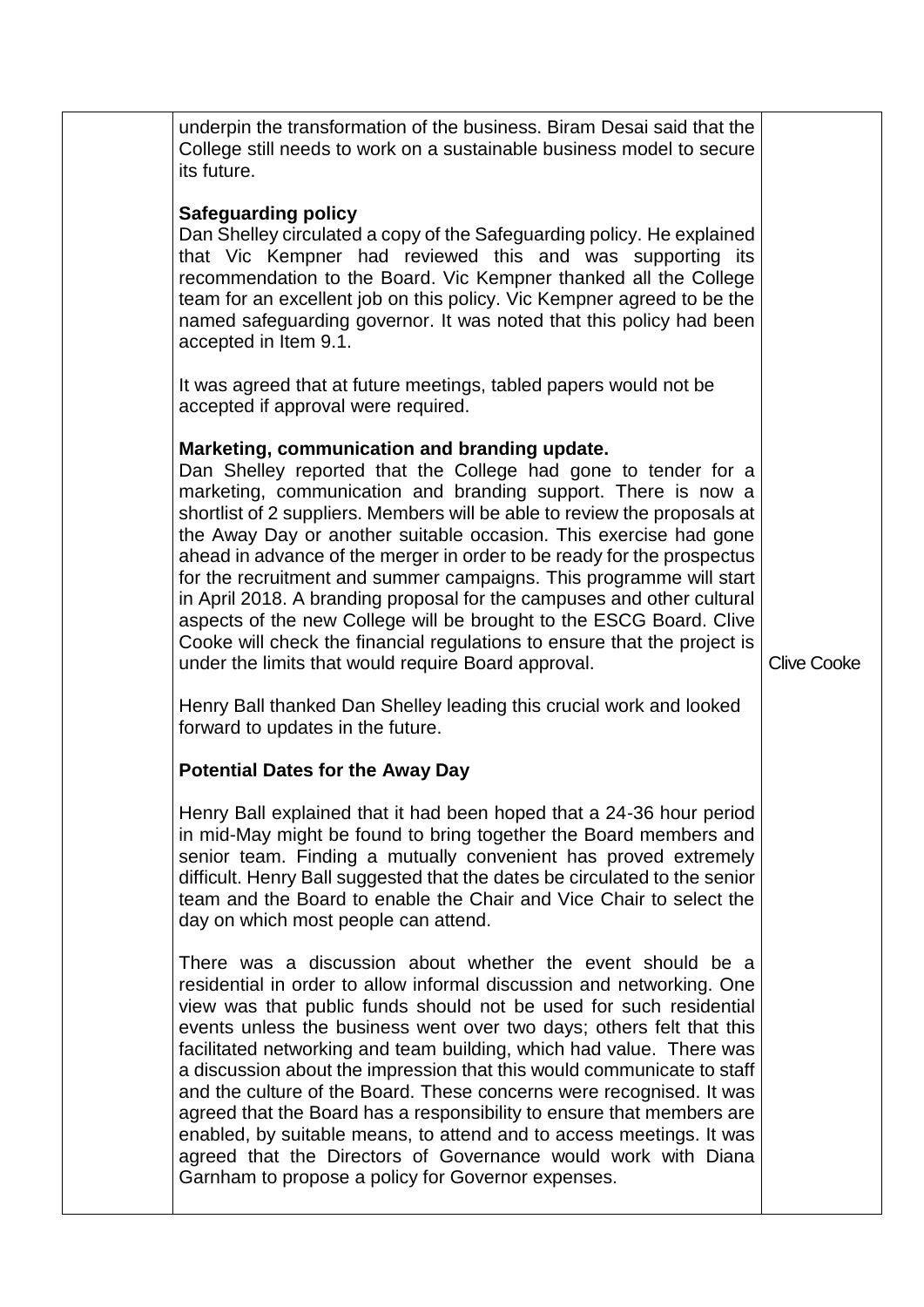| underpin the transformation of the business. Biram Desai said that the<br>College still needs to work on a sustainable business model to secure<br>its future.<br><b>Safeguarding policy</b><br>Dan Shelley circulated a copy of the Safeguarding policy. He explained<br>that Vic Kempner had reviewed this and was supporting its<br>recommendation to the Board. Vic Kempner thanked all the College<br>team for an excellent job on this policy. Vic Kempner agreed to be the<br>named safeguarding governor. It was noted that this policy had been<br>accepted in Item 9.1.<br>It was agreed that at future meetings, tabled papers would not be<br>accepted if approval were required.<br>Marketing, communication and branding update.<br>Dan Shelley reported that the College had gone to tender for a<br>marketing, communication and branding support. There is now a<br>shortlist of 2 suppliers. Members will be able to review the proposals at<br>the Away Day or another suitable occasion. This exercise had gone<br>ahead in advance of the merger in order to be ready for the prospectus<br>for the recruitment and summer campaigns. This programme will start<br>in April 2018. A branding proposal for the campuses and other cultural<br>aspects of the new College will be brought to the ESCG Board. Clive<br>Cooke will check the financial regulations to ensure that the project is<br>under the limits that would require Board approval. | <b>Clive Cooke</b> |
|--------------------------------------------------------------------------------------------------------------------------------------------------------------------------------------------------------------------------------------------------------------------------------------------------------------------------------------------------------------------------------------------------------------------------------------------------------------------------------------------------------------------------------------------------------------------------------------------------------------------------------------------------------------------------------------------------------------------------------------------------------------------------------------------------------------------------------------------------------------------------------------------------------------------------------------------------------------------------------------------------------------------------------------------------------------------------------------------------------------------------------------------------------------------------------------------------------------------------------------------------------------------------------------------------------------------------------------------------------------------------------------------------------------------------------------------------------------------------|--------------------|
| Henry Ball thanked Dan Shelley leading this crucial work and looked<br>forward to updates in the future.                                                                                                                                                                                                                                                                                                                                                                                                                                                                                                                                                                                                                                                                                                                                                                                                                                                                                                                                                                                                                                                                                                                                                                                                                                                                                                                                                                 |                    |
| <b>Potential Dates for the Away Day</b>                                                                                                                                                                                                                                                                                                                                                                                                                                                                                                                                                                                                                                                                                                                                                                                                                                                                                                                                                                                                                                                                                                                                                                                                                                                                                                                                                                                                                                  |                    |
| Henry Ball explained that it had been hoped that a 24-36 hour period<br>in mid-May might be found to bring together the Board members and<br>senior team. Finding a mutually convenient has proved extremely<br>difficult. Henry Ball suggested that the dates be circulated to the senior<br>team and the Board to enable the Chair and Vice Chair to select the<br>day on which most people can attend.                                                                                                                                                                                                                                                                                                                                                                                                                                                                                                                                                                                                                                                                                                                                                                                                                                                                                                                                                                                                                                                                |                    |
| There was a discussion about whether the event should be a<br>residential in order to allow informal discussion and networking. One<br>view was that public funds should not be used for such residential<br>events unless the business went over two days; others felt that this<br>facilitated networking and team building, which had value. There was<br>a discussion about the impression that this would communicate to staff<br>and the culture of the Board. These concerns were recognised. It was<br>agreed that the Board has a responsibility to ensure that members are<br>enabled, by suitable means, to attend and to access meetings. It was<br>agreed that the Directors of Governance would work with Diana<br>Garnham to propose a policy for Governor expenses.                                                                                                                                                                                                                                                                                                                                                                                                                                                                                                                                                                                                                                                                                      |                    |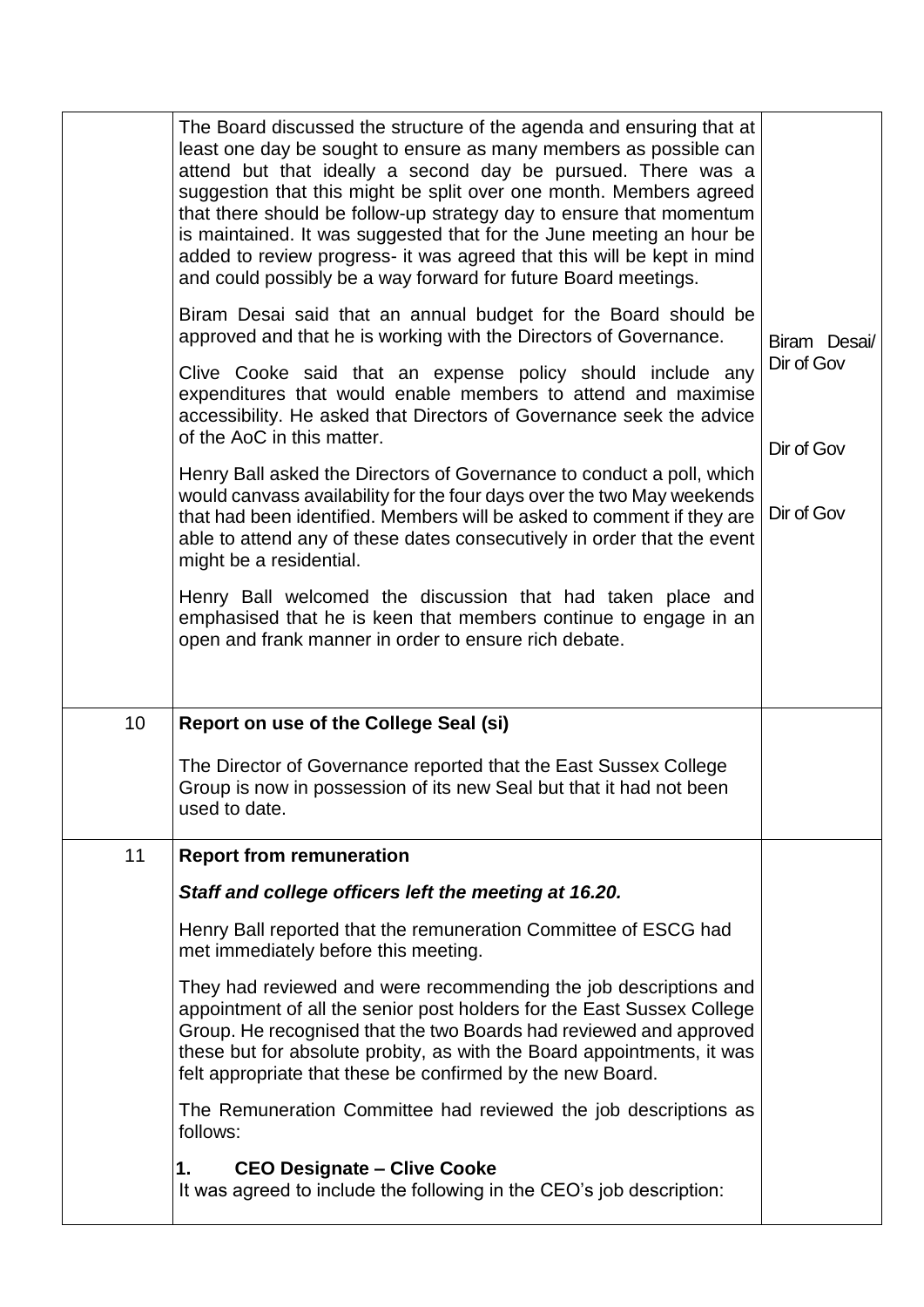|    | The Board discussed the structure of the agenda and ensuring that at<br>least one day be sought to ensure as many members as possible can<br>attend but that ideally a second day be pursued. There was a<br>suggestion that this might be split over one month. Members agreed<br>that there should be follow-up strategy day to ensure that momentum<br>is maintained. It was suggested that for the June meeting an hour be<br>added to review progress- it was agreed that this will be kept in mind<br>and could possibly be a way forward for future Board meetings. |                            |  |
|----|----------------------------------------------------------------------------------------------------------------------------------------------------------------------------------------------------------------------------------------------------------------------------------------------------------------------------------------------------------------------------------------------------------------------------------------------------------------------------------------------------------------------------------------------------------------------------|----------------------------|--|
|    | Biram Desai said that an annual budget for the Board should be<br>approved and that he is working with the Directors of Governance.                                                                                                                                                                                                                                                                                                                                                                                                                                        | Biram Desai/<br>Dir of Gov |  |
|    | Clive Cooke said that an expense policy should include any<br>expenditures that would enable members to attend and maximise<br>accessibility. He asked that Directors of Governance seek the advice<br>of the AoC in this matter.                                                                                                                                                                                                                                                                                                                                          |                            |  |
|    |                                                                                                                                                                                                                                                                                                                                                                                                                                                                                                                                                                            | Dir of Gov                 |  |
|    | Henry Ball asked the Directors of Governance to conduct a poll, which<br>would canvass availability for the four days over the two May weekends<br>that had been identified. Members will be asked to comment if they are<br>able to attend any of these dates consecutively in order that the event<br>might be a residential.                                                                                                                                                                                                                                            | Dir of Gov                 |  |
|    | Henry Ball welcomed the discussion that had taken place and<br>emphasised that he is keen that members continue to engage in an<br>open and frank manner in order to ensure rich debate.                                                                                                                                                                                                                                                                                                                                                                                   |                            |  |
| 10 | Report on use of the College Seal (si)                                                                                                                                                                                                                                                                                                                                                                                                                                                                                                                                     |                            |  |
|    | The Director of Governance reported that the East Sussex College<br>Group is now in possession of its new Seal but that it had not been<br>used to date.                                                                                                                                                                                                                                                                                                                                                                                                                   |                            |  |
| 11 | <b>Report from remuneration</b>                                                                                                                                                                                                                                                                                                                                                                                                                                                                                                                                            |                            |  |
|    | Staff and college officers left the meeting at 16.20.                                                                                                                                                                                                                                                                                                                                                                                                                                                                                                                      |                            |  |
|    | Henry Ball reported that the remuneration Committee of ESCG had<br>met immediately before this meeting.                                                                                                                                                                                                                                                                                                                                                                                                                                                                    |                            |  |
|    | They had reviewed and were recommending the job descriptions and<br>appointment of all the senior post holders for the East Sussex College<br>Group. He recognised that the two Boards had reviewed and approved<br>these but for absolute probity, as with the Board appointments, it was<br>felt appropriate that these be confirmed by the new Board.                                                                                                                                                                                                                   |                            |  |
|    | The Remuneration Committee had reviewed the job descriptions as<br>follows:                                                                                                                                                                                                                                                                                                                                                                                                                                                                                                |                            |  |
|    | 1.<br><b>CEO Designate - Clive Cooke</b><br>It was agreed to include the following in the CEO's job description:                                                                                                                                                                                                                                                                                                                                                                                                                                                           |                            |  |